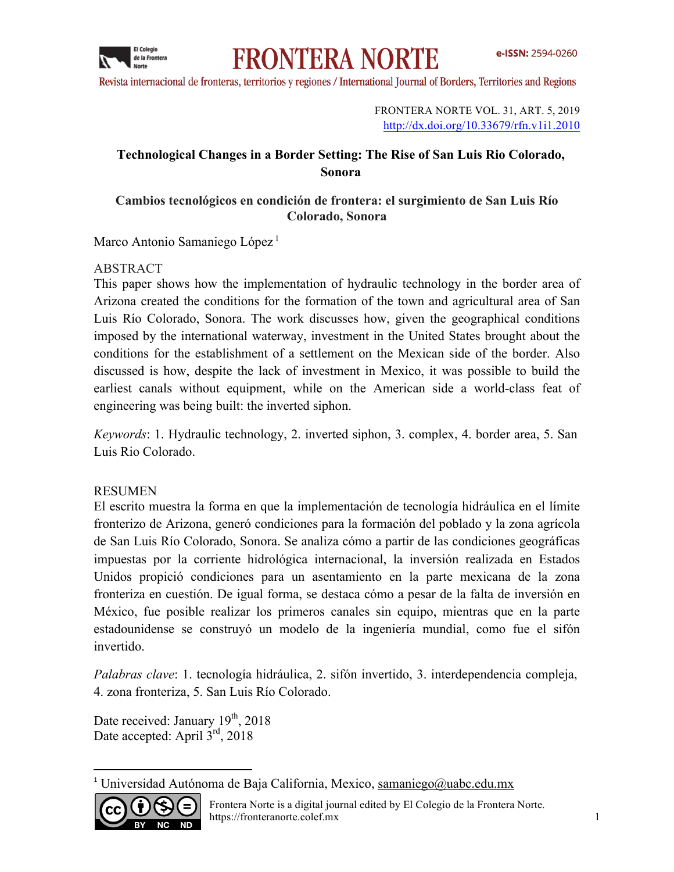

# **FRONTERA NORTE**

Revista internacional de fronteras, territorios y regiones / International Journal of Borders, Territories and Regions

FRONTERA NORTE VOL. 31, ART. 5, 2019 http://dx.doi.org/10.33679/rfn.v1i1.2010

# **Technological Changes in a Border Setting: The Rise of San Luis Rio Colorado, Sonora**

## **Cambios tecnológicos en condición de frontera: el surgimiento de San Luis Río Colorado, Sonora**

Marco Antonio Samaniego López<sup>1</sup>

## ABSTRACT

This paper shows how the implementation of hydraulic technology in the border area of Arizona created the conditions for the formation of the town and agricultural area of San Luis Río Colorado, Sonora. The work discusses how, given the geographical conditions imposed by the international waterway, investment in the United States brought about the conditions for the establishment of a settlement on the Mexican side of the border. Also discussed is how, despite the lack of investment in Mexico, it was possible to build the earliest canals without equipment, while on the American side a world-class feat of engineering was being built: the inverted siphon.

*Keywords*: 1. Hydraulic technology, 2. inverted siphon, 3. complex, 4. border area, 5. San Luis Rio Colorado.

## RESUMEN

El escrito muestra la forma en que la implementación de tecnología hidráulica en el límite fronterizo de Arizona, generó condiciones para la formación del poblado y la zona agrícola de San Luis Río Colorado, Sonora. Se analiza cómo a partir de las condiciones geográficas impuestas por la corriente hidrológica internacional, la inversión realizada en Estados Unidos propició condiciones para un asentamiento en la parte mexicana de la zona fronteriza en cuestión. De igual forma, se destaca cómo a pesar de la falta de inversión en México, fue posible realizar los primeros canales sin equipo, mientras que en la parte estadounidense se construyó un modelo de la ingeniería mundial, como fue el sifón invertido.

*Palabras clave*: 1. tecnología hidráulica, 2. sifón invertido, 3. interdependencia compleja, 4. zona fronteriza, 5. San Luis Río Colorado.

Date received: January  $19<sup>th</sup>$ , 2018 Date accepted: April 3<sup>rd</sup>, 2018

<u> 1989 - Johann Stein, fransk politik (d. 1989)</u>

<sup>&</sup>lt;sup>1</sup> Universidad Autónoma de Baja California, Mexico, samaniego@uabc.edu.mx

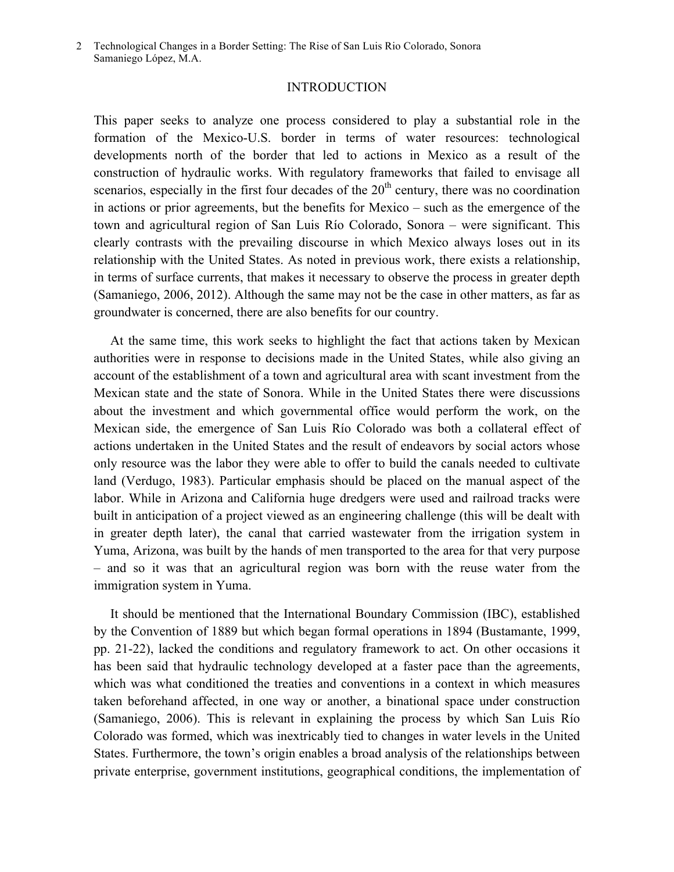#### INTRODUCTION

This paper seeks to analyze one process considered to play a substantial role in the formation of the Mexico-U.S. border in terms of water resources: technological developments north of the border that led to actions in Mexico as a result of the construction of hydraulic works. With regulatory frameworks that failed to envisage all scenarios, especially in the first four decades of the  $20<sup>th</sup>$  century, there was no coordination in actions or prior agreements, but the benefits for Mexico – such as the emergence of the town and agricultural region of San Luis Río Colorado, Sonora – were significant. This clearly contrasts with the prevailing discourse in which Mexico always loses out in its relationship with the United States. As noted in previous work, there exists a relationship, in terms of surface currents, that makes it necessary to observe the process in greater depth (Samaniego, 2006, 2012). Although the same may not be the case in other matters, as far as groundwater is concerned, there are also benefits for our country.

 At the same time, this work seeks to highlight the fact that actions taken by Mexican authorities were in response to decisions made in the United States, while also giving an account of the establishment of a town and agricultural area with scant investment from the Mexican state and the state of Sonora. While in the United States there were discussions about the investment and which governmental office would perform the work, on the Mexican side, the emergence of San Luis Río Colorado was both a collateral effect of actions undertaken in the United States and the result of endeavors by social actors whose only resource was the labor they were able to offer to build the canals needed to cultivate land (Verdugo, 1983). Particular emphasis should be placed on the manual aspect of the labor. While in Arizona and California huge dredgers were used and railroad tracks were built in anticipation of a project viewed as an engineering challenge (this will be dealt with in greater depth later), the canal that carried wastewater from the irrigation system in Yuma, Arizona, was built by the hands of men transported to the area for that very purpose – and so it was that an agricultural region was born with the reuse water from the immigration system in Yuma.

 It should be mentioned that the International Boundary Commission (IBC), established by the Convention of 1889 but which began formal operations in 1894 (Bustamante, 1999, pp. 21-22), lacked the conditions and regulatory framework to act. On other occasions it has been said that hydraulic technology developed at a faster pace than the agreements, which was what conditioned the treaties and conventions in a context in which measures taken beforehand affected, in one way or another, a binational space under construction (Samaniego, 2006). This is relevant in explaining the process by which San Luis Río Colorado was formed, which was inextricably tied to changes in water levels in the United States. Furthermore, the town's origin enables a broad analysis of the relationships between private enterprise, government institutions, geographical conditions, the implementation of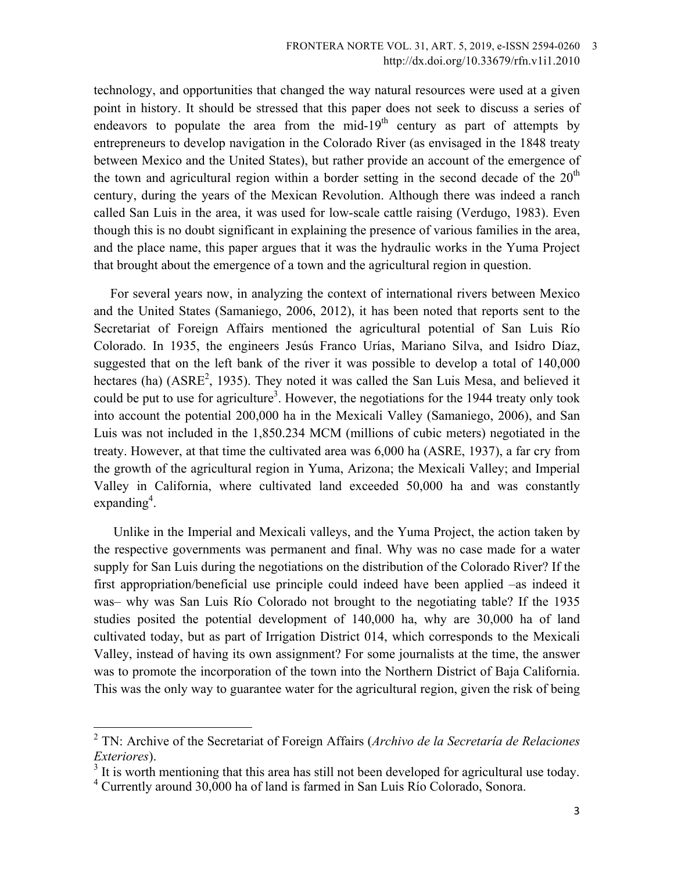technology, and opportunities that changed the way natural resources were used at a given point in history. It should be stressed that this paper does not seek to discuss a series of endeavors to populate the area from the mid- $19<sup>th</sup>$  century as part of attempts by entrepreneurs to develop navigation in the Colorado River (as envisaged in the 1848 treaty between Mexico and the United States), but rather provide an account of the emergence of the town and agricultural region within a border setting in the second decade of the  $20<sup>th</sup>$ century, during the years of the Mexican Revolution. Although there was indeed a ranch called San Luis in the area, it was used for low-scale cattle raising (Verdugo, 1983). Even though this is no doubt significant in explaining the presence of various families in the area, and the place name, this paper argues that it was the hydraulic works in the Yuma Project that brought about the emergence of a town and the agricultural region in question.

 For several years now, in analyzing the context of international rivers between Mexico and the United States (Samaniego, 2006, 2012), it has been noted that reports sent to the Secretariat of Foreign Affairs mentioned the agricultural potential of San Luis Río Colorado. In 1935, the engineers Jesús Franco Urías, Mariano Silva, and Isidro Díaz, suggested that on the left bank of the river it was possible to develop a total of 140,000 hectares (ha)  $(ASRE<sup>2</sup>, 1935)$ . They noted it was called the San Luis Mesa, and believed it could be put to use for agriculture<sup>3</sup>. However, the negotiations for the 1944 treaty only took into account the potential 200,000 ha in the Mexicali Valley (Samaniego, 2006), and San Luis was not included in the 1,850.234 MCM (millions of cubic meters) negotiated in the treaty. However, at that time the cultivated area was 6,000 ha (ASRE, 1937), a far cry from the growth of the agricultural region in Yuma, Arizona; the Mexicali Valley; and Imperial Valley in California, where cultivated land exceeded 50,000 ha and was constantly expanding<sup>4</sup>.

 Unlike in the Imperial and Mexicali valleys, and the Yuma Project, the action taken by the respective governments was permanent and final. Why was no case made for a water supply for San Luis during the negotiations on the distribution of the Colorado River? If the first appropriation/beneficial use principle could indeed have been applied –as indeed it was– why was San Luis Río Colorado not brought to the negotiating table? If the 1935 studies posited the potential development of 140,000 ha, why are 30,000 ha of land cultivated today, but as part of Irrigation District 014, which corresponds to the Mexicali Valley, instead of having its own assignment? For some journalists at the time, the answer was to promote the incorporation of the town into the Northern District of Baja California. This was the only way to guarantee water for the agricultural region, given the risk of being

 <sup>2</sup> TN: Archive of the Secretariat of Foreign Affairs (*Archivo de la Secretaría de Relaciones Exteriores*).

 $3$  It is worth mentioning that this area has still not been developed for agricultural use today.

<sup>&</sup>lt;sup>4</sup> Currently around 30,000 ha of land is farmed in San Luis Río Colorado, Sonora.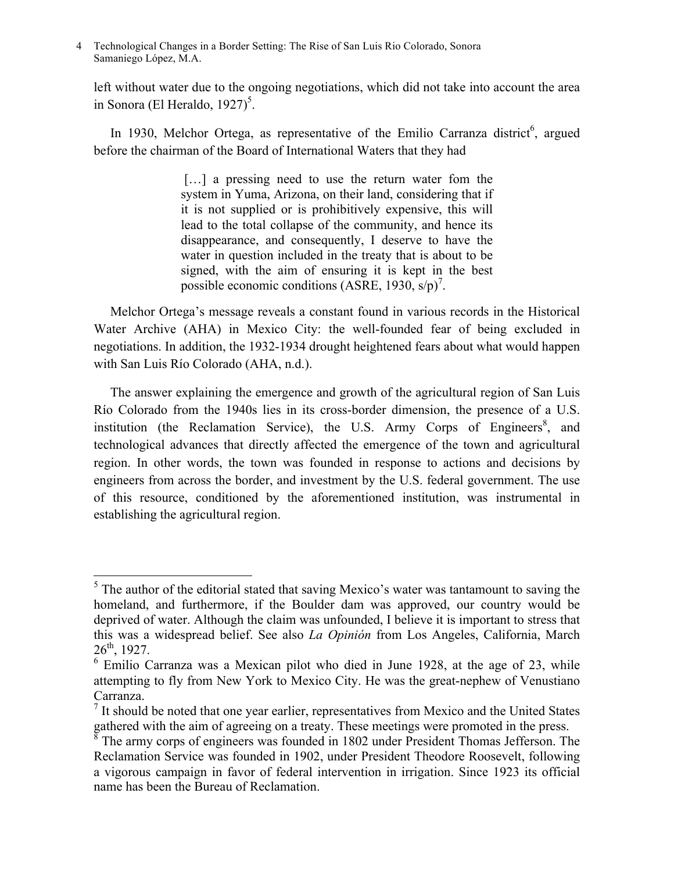left without water due to the ongoing negotiations, which did not take into account the area in Sonora (El Heraldo, 1927)<sup>5</sup>.

In 1930, Melchor Ortega, as representative of the Emilio Carranza district<sup>6</sup>, argued before the chairman of the Board of International Waters that they had

> [...] a pressing need to use the return water fom the system in Yuma, Arizona, on their land, considering that if it is not supplied or is prohibitively expensive, this will lead to the total collapse of the community, and hence its disappearance, and consequently, I deserve to have the water in question included in the treaty that is about to be signed, with the aim of ensuring it is kept in the best possible economic conditions (ASRE, 1930,  $s/p$ )<sup>7</sup>.

 Melchor Ortega's message reveals a constant found in various records in the Historical Water Archive (AHA) in Mexico City: the well-founded fear of being excluded in negotiations. In addition, the 1932-1934 drought heightened fears about what would happen with San Luis Río Colorado (AHA, n.d.).

 The answer explaining the emergence and growth of the agricultural region of San Luis Río Colorado from the 1940s lies in its cross-border dimension, the presence of a U.S. institution (the Reclamation Service), the U.S. Army Corps of Engineers<sup>8</sup>, and technological advances that directly affected the emergence of the town and agricultural region. In other words, the town was founded in response to actions and decisions by engineers from across the border, and investment by the U.S. federal government. The use of this resource, conditioned by the aforementioned institution, was instrumental in establishing the agricultural region.

<sup>&</sup>lt;sup>5</sup> The author of the editorial stated that saving Mexico's water was tantamount to saving the homeland, and furthermore, if the Boulder dam was approved, our country would be deprived of water. Although the claim was unfounded, I believe it is important to stress that this was a widespread belief. See also *La Opinión* from Los Angeles, California, March 26th, 1927.

 $6$  Emilio Carranza was a Mexican pilot who died in June 1928, at the age of 23, while attempting to fly from New York to Mexico City. He was the great-nephew of Venustiano Carranza.

 $<sup>7</sup>$  It should be noted that one year earlier, representatives from Mexico and the United States</sup> gathered with the aim of agreeing on a treaty. These meetings were promoted in the press.

The army corps of engineers was founded in 1802 under President Thomas Jefferson. The Reclamation Service was founded in 1902, under President Theodore Roosevelt, following a vigorous campaign in favor of federal intervention in irrigation. Since 1923 its official name has been the Bureau of Reclamation.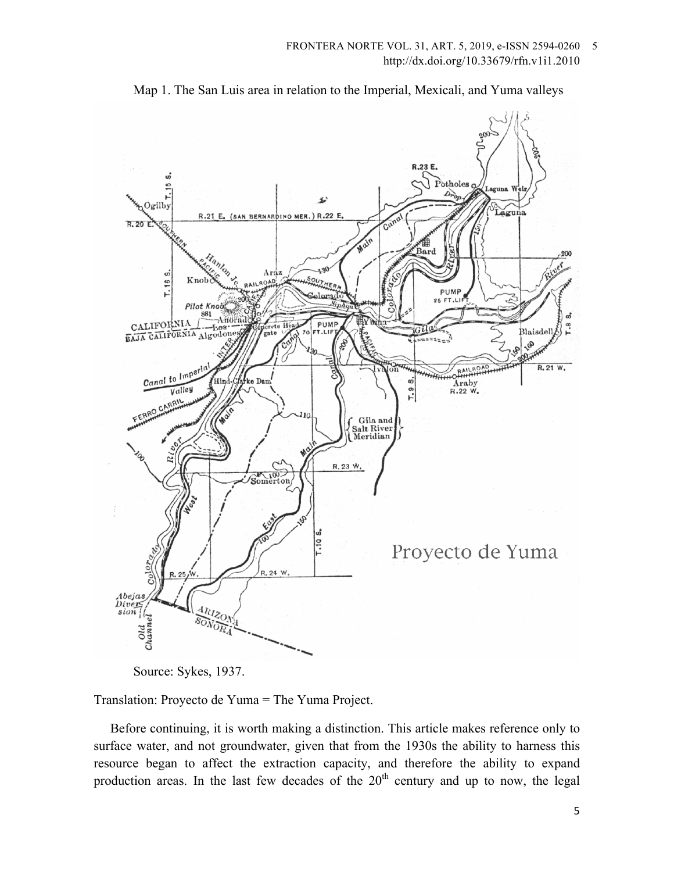

Map 1. The San Luis area in relation to the Imperial, Mexicali, and Yuma valleys

Source: Sykes, 1937.

Translation: Proyecto de Yuma = The Yuma Project.

 Before continuing, it is worth making a distinction. This article makes reference only to surface water, and not groundwater, given that from the 1930s the ability to harness this resource began to affect the extraction capacity, and therefore the ability to expand production areas. In the last few decades of the  $20<sup>th</sup>$  century and up to now, the legal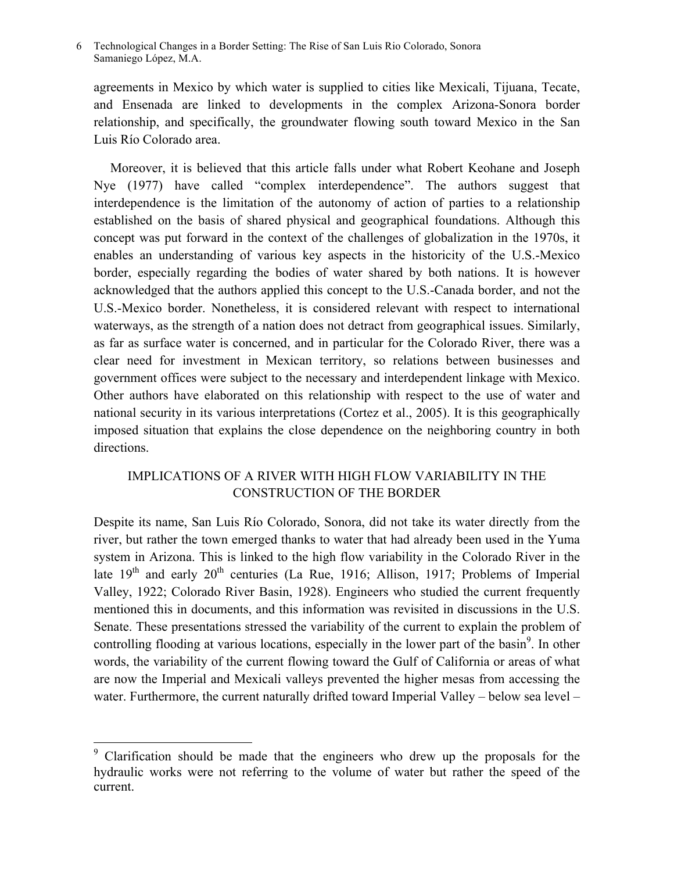agreements in Mexico by which water is supplied to cities like Mexicali, Tijuana, Tecate, and Ensenada are linked to developments in the complex Arizona-Sonora border relationship, and specifically, the groundwater flowing south toward Mexico in the San Luis Río Colorado area.

 Moreover, it is believed that this article falls under what Robert Keohane and Joseph Nye (1977) have called "complex interdependence". The authors suggest that interdependence is the limitation of the autonomy of action of parties to a relationship established on the basis of shared physical and geographical foundations. Although this concept was put forward in the context of the challenges of globalization in the 1970s, it enables an understanding of various key aspects in the historicity of the U.S.-Mexico border, especially regarding the bodies of water shared by both nations. It is however acknowledged that the authors applied this concept to the U.S.-Canada border, and not the U.S.-Mexico border. Nonetheless, it is considered relevant with respect to international waterways, as the strength of a nation does not detract from geographical issues. Similarly, as far as surface water is concerned, and in particular for the Colorado River, there was a clear need for investment in Mexican territory, so relations between businesses and government offices were subject to the necessary and interdependent linkage with Mexico. Other authors have elaborated on this relationship with respect to the use of water and national security in its various interpretations (Cortez et al., 2005). It is this geographically imposed situation that explains the close dependence on the neighboring country in both directions.

# IMPLICATIONS OF A RIVER WITH HIGH FLOW VARIABILITY IN THE CONSTRUCTION OF THE BORDER

Despite its name, San Luis Río Colorado, Sonora, did not take its water directly from the river, but rather the town emerged thanks to water that had already been used in the Yuma system in Arizona. This is linked to the high flow variability in the Colorado River in the late 19<sup>th</sup> and early 20<sup>th</sup> centuries (La Rue, 1916; Allison, 1917; Problems of Imperial Valley, 1922; Colorado River Basin, 1928). Engineers who studied the current frequently mentioned this in documents, and this information was revisited in discussions in the U.S. Senate. These presentations stressed the variability of the current to explain the problem of controlling flooding at various locations, especially in the lower part of the basin<sup>9</sup>. In other words, the variability of the current flowing toward the Gulf of California or areas of what are now the Imperial and Mexicali valleys prevented the higher mesas from accessing the water. Furthermore, the current naturally drifted toward Imperial Valley – below sea level –

 <sup>9</sup> Clarification should be made that the engineers who drew up the proposals for the hydraulic works were not referring to the volume of water but rather the speed of the current.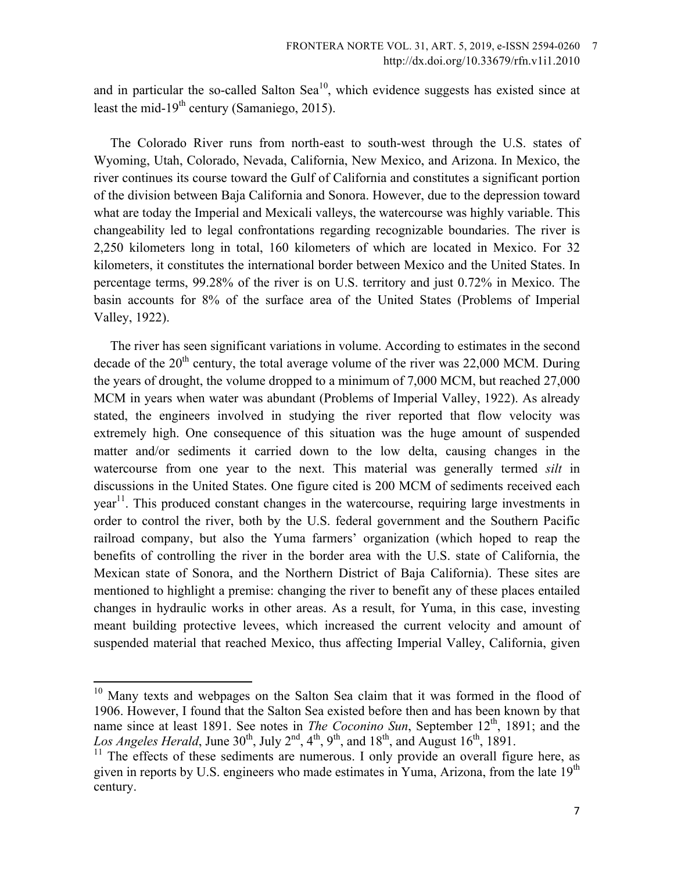and in particular the so-called Salton Sea<sup>10</sup>, which evidence suggests has existed since at least the mid-19<sup>th</sup> century (Samaniego, 2015).

 The Colorado River runs from north-east to south-west through the U.S. states of Wyoming, Utah, Colorado, Nevada, California, New Mexico, and Arizona. In Mexico, the river continues its course toward the Gulf of California and constitutes a significant portion of the division between Baja California and Sonora. However, due to the depression toward what are today the Imperial and Mexicali valleys, the watercourse was highly variable. This changeability led to legal confrontations regarding recognizable boundaries. The river is 2,250 kilometers long in total, 160 kilometers of which are located in Mexico. For 32 kilometers, it constitutes the international border between Mexico and the United States. In percentage terms, 99.28% of the river is on U.S. territory and just 0.72% in Mexico. The basin accounts for 8% of the surface area of the United States (Problems of Imperial Valley, 1922).

 The river has seen significant variations in volume. According to estimates in the second decade of the  $20<sup>th</sup>$  century, the total average volume of the river was 22,000 MCM. During the years of drought, the volume dropped to a minimum of 7,000 MCM, but reached 27,000 MCM in years when water was abundant (Problems of Imperial Valley, 1922). As already stated, the engineers involved in studying the river reported that flow velocity was extremely high. One consequence of this situation was the huge amount of suspended matter and/or sediments it carried down to the low delta, causing changes in the watercourse from one year to the next. This material was generally termed *silt* in discussions in the United States. One figure cited is 200 MCM of sediments received each  $year<sup>11</sup>$ . This produced constant changes in the watercourse, requiring large investments in order to control the river, both by the U.S. federal government and the Southern Pacific railroad company, but also the Yuma farmers' organization (which hoped to reap the benefits of controlling the river in the border area with the U.S. state of California, the Mexican state of Sonora, and the Northern District of Baja California). These sites are mentioned to highlight a premise: changing the river to benefit any of these places entailed changes in hydraulic works in other areas. As a result, for Yuma, in this case, investing meant building protective levees, which increased the current velocity and amount of suspended material that reached Mexico, thus affecting Imperial Valley, California, given

<sup>&</sup>lt;sup>10</sup> Many texts and webpages on the Salton Sea claim that it was formed in the flood of 1906. However, I found that the Salton Sea existed before then and has been known by that name since at least 1891. See notes in *The Coconino Sun*, September 12<sup>th</sup>, 1891; and the Los Angeles Herald, June  $30^{th}$ , July  $2^{nd}$ ,  $4^{th}$ ,  $9^{th}$ , and  $18^{th}$ , and August  $16^{th}$ ,  $1891$ .

 $11$  The effects of these sediments are numerous. I only provide an overall figure here, as given in reports by U.S. engineers who made estimates in Yuma, Arizona, from the late  $19<sup>th</sup>$ century.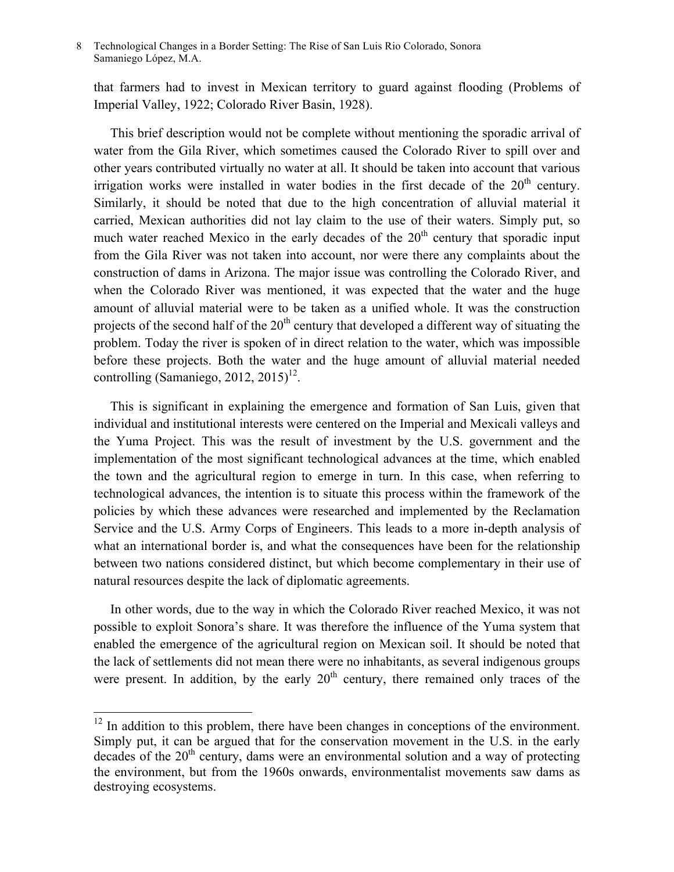that farmers had to invest in Mexican territory to guard against flooding (Problems of Imperial Valley, 1922; Colorado River Basin, 1928).

 This brief description would not be complete without mentioning the sporadic arrival of water from the Gila River, which sometimes caused the Colorado River to spill over and other years contributed virtually no water at all. It should be taken into account that various irrigation works were installed in water bodies in the first decade of the  $20<sup>th</sup>$  century. Similarly, it should be noted that due to the high concentration of alluvial material it carried, Mexican authorities did not lay claim to the use of their waters. Simply put, so much water reached Mexico in the early decades of the  $20<sup>th</sup>$  century that sporadic input from the Gila River was not taken into account, nor were there any complaints about the construction of dams in Arizona. The major issue was controlling the Colorado River, and when the Colorado River was mentioned, it was expected that the water and the huge amount of alluvial material were to be taken as a unified whole. It was the construction projects of the second half of the  $20<sup>th</sup>$  century that developed a different way of situating the problem. Today the river is spoken of in direct relation to the water, which was impossible before these projects. Both the water and the huge amount of alluvial material needed controlling (Samaniego, 2012, 2015)<sup>12</sup>.

 This is significant in explaining the emergence and formation of San Luis, given that individual and institutional interests were centered on the Imperial and Mexicali valleys and the Yuma Project. This was the result of investment by the U.S. government and the implementation of the most significant technological advances at the time, which enabled the town and the agricultural region to emerge in turn. In this case, when referring to technological advances, the intention is to situate this process within the framework of the policies by which these advances were researched and implemented by the Reclamation Service and the U.S. Army Corps of Engineers. This leads to a more in-depth analysis of what an international border is, and what the consequences have been for the relationship between two nations considered distinct, but which become complementary in their use of natural resources despite the lack of diplomatic agreements.

 In other words, due to the way in which the Colorado River reached Mexico, it was not possible to exploit Sonora's share. It was therefore the influence of the Yuma system that enabled the emergence of the agricultural region on Mexican soil. It should be noted that the lack of settlements did not mean there were no inhabitants, as several indigenous groups were present. In addition, by the early  $20<sup>th</sup>$  century, there remained only traces of the

 $12$  In addition to this problem, there have been changes in conceptions of the environment. Simply put, it can be argued that for the conservation movement in the U.S. in the early decades of the 20<sup>th</sup> century, dams were an environmental solution and a way of protecting the environment, but from the 1960s onwards, environmentalist movements saw dams as destroying ecosystems.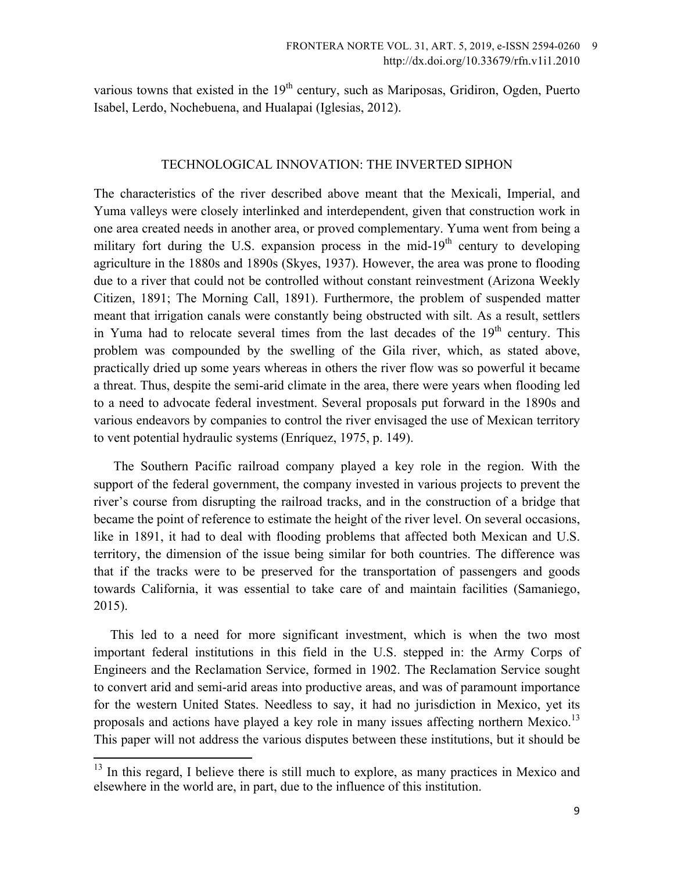various towns that existed in the  $19<sup>th</sup>$  century, such as Mariposas, Gridiron, Ogden, Puerto Isabel, Lerdo, Nochebuena, and Hualapai (Iglesias, 2012).

## TECHNOLOGICAL INNOVATION: THE INVERTED SIPHON

The characteristics of the river described above meant that the Mexicali, Imperial, and Yuma valleys were closely interlinked and interdependent, given that construction work in one area created needs in another area, or proved complementary. Yuma went from being a military fort during the U.S. expansion process in the mid-19<sup>th</sup> century to developing agriculture in the 1880s and 1890s (Skyes, 1937). However, the area was prone to flooding due to a river that could not be controlled without constant reinvestment (Arizona Weekly Citizen, 1891; The Morning Call, 1891). Furthermore, the problem of suspended matter meant that irrigation canals were constantly being obstructed with silt. As a result, settlers in Yuma had to relocate several times from the last decades of the  $19<sup>th</sup>$  century. This problem was compounded by the swelling of the Gila river, which, as stated above, practically dried up some years whereas in others the river flow was so powerful it became a threat. Thus, despite the semi-arid climate in the area, there were years when flooding led to a need to advocate federal investment. Several proposals put forward in the 1890s and various endeavors by companies to control the river envisaged the use of Mexican territory to vent potential hydraulic systems (Enríquez, 1975, p. 149).

 The Southern Pacific railroad company played a key role in the region. With the support of the federal government, the company invested in various projects to prevent the river's course from disrupting the railroad tracks, and in the construction of a bridge that became the point of reference to estimate the height of the river level. On several occasions, like in 1891, it had to deal with flooding problems that affected both Mexican and U.S. territory, the dimension of the issue being similar for both countries. The difference was that if the tracks were to be preserved for the transportation of passengers and goods towards California, it was essential to take care of and maintain facilities (Samaniego, 2015).

 This led to a need for more significant investment, which is when the two most important federal institutions in this field in the U.S. stepped in: the Army Corps of Engineers and the Reclamation Service, formed in 1902. The Reclamation Service sought to convert arid and semi-arid areas into productive areas, and was of paramount importance for the western United States. Needless to say, it had no jurisdiction in Mexico, yet its proposals and actions have played a key role in many issues affecting northern Mexico.<sup>13</sup> This paper will not address the various disputes between these institutions, but it should be

<sup>&</sup>lt;sup>13</sup> In this regard, I believe there is still much to explore, as many practices in Mexico and elsewhere in the world are, in part, due to the influence of this institution.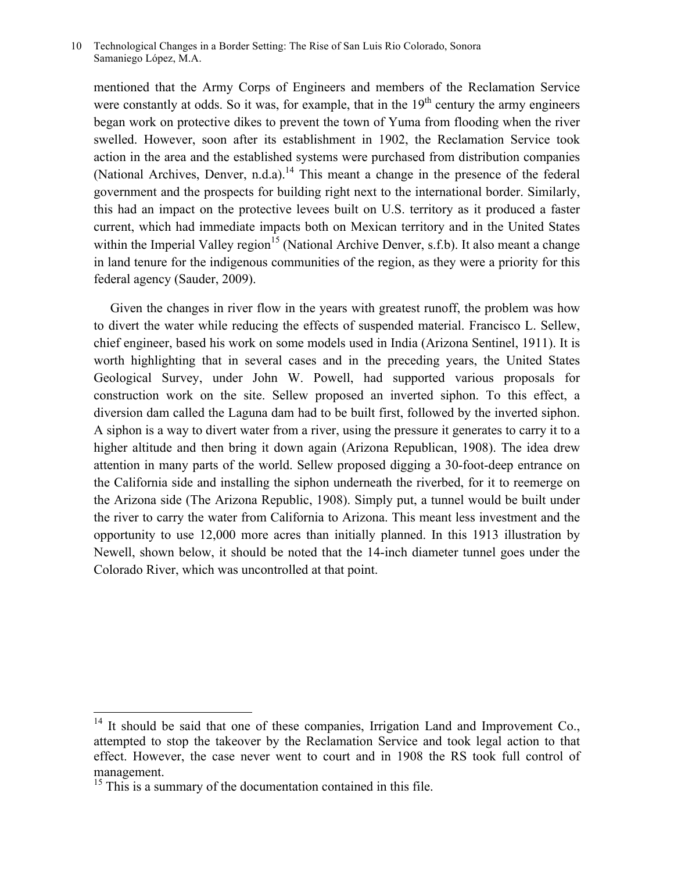mentioned that the Army Corps of Engineers and members of the Reclamation Service were constantly at odds. So it was, for example, that in the  $19<sup>th</sup>$  century the army engineers began work on protective dikes to prevent the town of Yuma from flooding when the river swelled. However, soon after its establishment in 1902, the Reclamation Service took action in the area and the established systems were purchased from distribution companies (National Archives, Denver, n.d.a).<sup>14</sup> This meant a change in the presence of the federal government and the prospects for building right next to the international border. Similarly, this had an impact on the protective levees built on U.S. territory as it produced a faster current, which had immediate impacts both on Mexican territory and in the United States within the Imperial Valley region<sup>15</sup> (National Archive Denver, s.f.b). It also meant a change in land tenure for the indigenous communities of the region, as they were a priority for this federal agency (Sauder, 2009).

 Given the changes in river flow in the years with greatest runoff, the problem was how to divert the water while reducing the effects of suspended material. Francisco L. Sellew, chief engineer, based his work on some models used in India (Arizona Sentinel, 1911). It is worth highlighting that in several cases and in the preceding years, the United States Geological Survey, under John W. Powell, had supported various proposals for construction work on the site. Sellew proposed an inverted siphon. To this effect, a diversion dam called the Laguna dam had to be built first, followed by the inverted siphon. A siphon is a way to divert water from a river, using the pressure it generates to carry it to a higher altitude and then bring it down again (Arizona Republican, 1908). The idea drew attention in many parts of the world. Sellew proposed digging a 30-foot-deep entrance on the California side and installing the siphon underneath the riverbed, for it to reemerge on the Arizona side (The Arizona Republic, 1908). Simply put, a tunnel would be built under the river to carry the water from California to Arizona. This meant less investment and the opportunity to use 12,000 more acres than initially planned. In this 1913 illustration by Newell, shown below, it should be noted that the 14-inch diameter tunnel goes under the Colorado River, which was uncontrolled at that point.

 $14$  It should be said that one of these companies, Irrigation Land and Improvement Co. attempted to stop the takeover by the Reclamation Service and took legal action to that effect. However, the case never went to court and in 1908 the RS took full control of management.

<sup>&</sup>lt;sup>15</sup> This is a summary of the documentation contained in this file.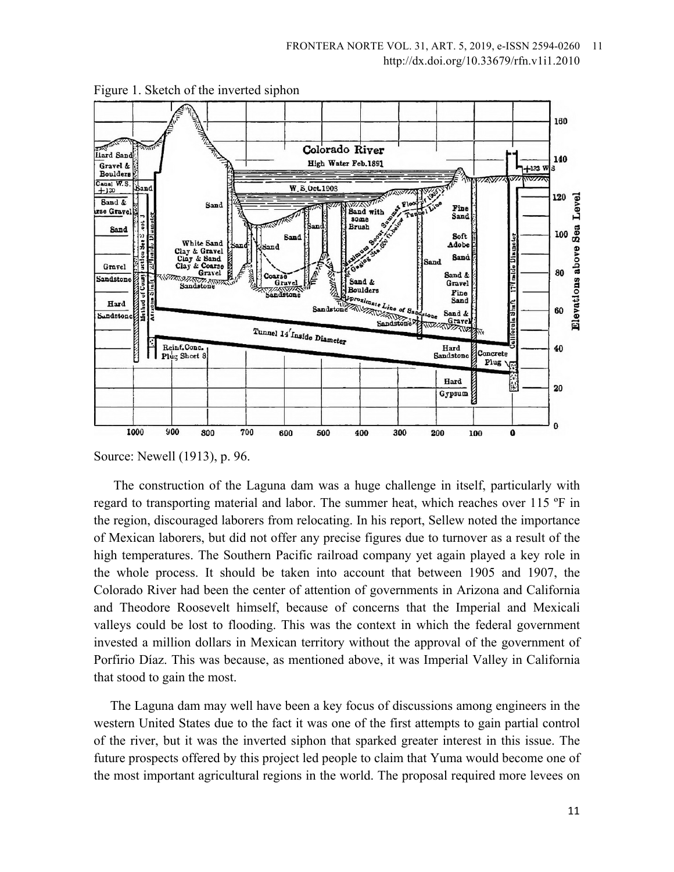

Figure 1. Sketch of the inverted siphon

Source: Newell (1913), p. 96.

 The construction of the Laguna dam was a huge challenge in itself, particularly with regard to transporting material and labor. The summer heat, which reaches over 115 ºF in the region, discouraged laborers from relocating. In his report, Sellew noted the importance of Mexican laborers, but did not offer any precise figures due to turnover as a result of the high temperatures. The Southern Pacific railroad company yet again played a key role in the whole process. It should be taken into account that between 1905 and 1907, the Colorado River had been the center of attention of governments in Arizona and California and Theodore Roosevelt himself, because of concerns that the Imperial and Mexicali valleys could be lost to flooding. This was the context in which the federal government invested a million dollars in Mexican territory without the approval of the government of Porfirio Díaz. This was because, as mentioned above, it was Imperial Valley in California that stood to gain the most.

 The Laguna dam may well have been a key focus of discussions among engineers in the western United States due to the fact it was one of the first attempts to gain partial control of the river, but it was the inverted siphon that sparked greater interest in this issue. The future prospects offered by this project led people to claim that Yuma would become one of the most important agricultural regions in the world. The proposal required more levees on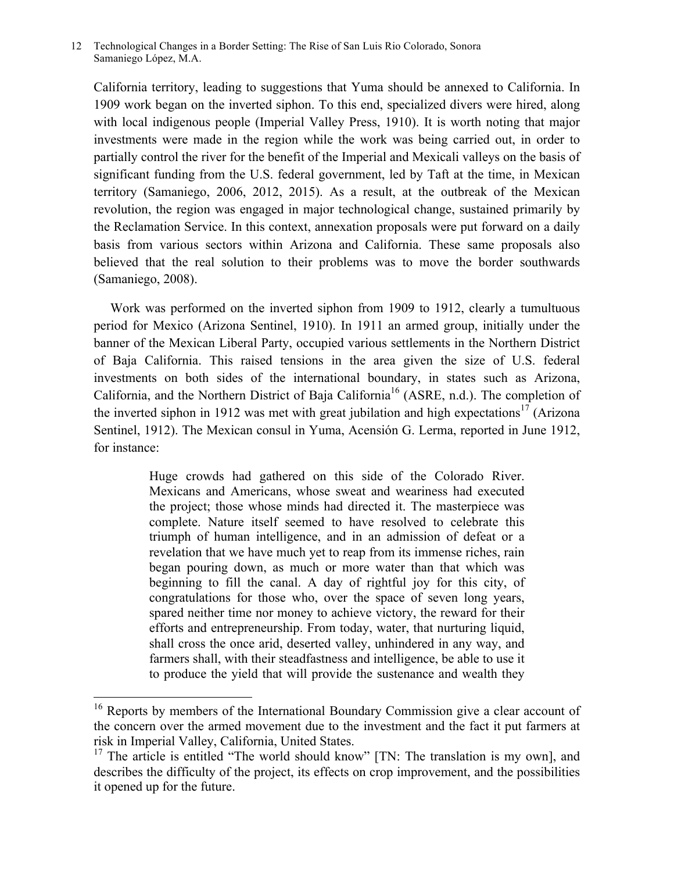California territory, leading to suggestions that Yuma should be annexed to California. In 1909 work began on the inverted siphon. To this end, specialized divers were hired, along with local indigenous people (Imperial Valley Press, 1910). It is worth noting that major investments were made in the region while the work was being carried out, in order to partially control the river for the benefit of the Imperial and Mexicali valleys on the basis of significant funding from the U.S. federal government, led by Taft at the time, in Mexican territory (Samaniego, 2006, 2012, 2015). As a result, at the outbreak of the Mexican revolution, the region was engaged in major technological change, sustained primarily by the Reclamation Service. In this context, annexation proposals were put forward on a daily basis from various sectors within Arizona and California. These same proposals also believed that the real solution to their problems was to move the border southwards (Samaniego, 2008).

 Work was performed on the inverted siphon from 1909 to 1912, clearly a tumultuous period for Mexico (Arizona Sentinel, 1910). In 1911 an armed group, initially under the banner of the Mexican Liberal Party, occupied various settlements in the Northern District of Baja California. This raised tensions in the area given the size of U.S. federal investments on both sides of the international boundary, in states such as Arizona, California, and the Northern District of Baja California<sup>16</sup> (ASRE, n.d.). The completion of the inverted siphon in 1912 was met with great jubilation and high expectations<sup>17</sup> (Arizona Sentinel, 1912). The Mexican consul in Yuma, Acensión G. Lerma, reported in June 1912, for instance:

> Huge crowds had gathered on this side of the Colorado River. Mexicans and Americans, whose sweat and weariness had executed the project; those whose minds had directed it. The masterpiece was complete. Nature itself seemed to have resolved to celebrate this triumph of human intelligence, and in an admission of defeat or a revelation that we have much yet to reap from its immense riches, rain began pouring down, as much or more water than that which was beginning to fill the canal. A day of rightful joy for this city, of congratulations for those who, over the space of seven long years, spared neither time nor money to achieve victory, the reward for their efforts and entrepreneurship. From today, water, that nurturing liquid, shall cross the once arid, deserted valley, unhindered in any way, and farmers shall, with their steadfastness and intelligence, be able to use it to produce the yield that will provide the sustenance and wealth they

<sup>&</sup>lt;sup>16</sup> Reports by members of the International Boundary Commission give a clear account of the concern over the armed movement due to the investment and the fact it put farmers at risk in Imperial Valley, California, United States.

<sup>&</sup>lt;sup>17</sup> The article is entitled "The world should know"  $[TN]$ : The translation is my own], and describes the difficulty of the project, its effects on crop improvement, and the possibilities it opened up for the future.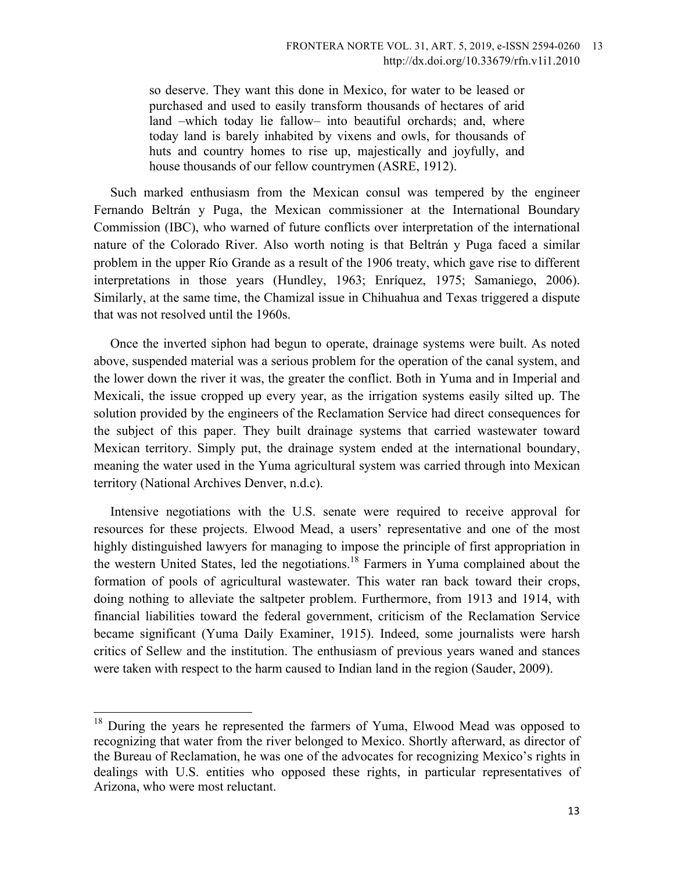so deserve. They want this done in Mexico, for water to be leased or purchased and used to easily transform thousands of hectares of arid land –which today lie fallow– into beautiful orchards; and, where today land is barely inhabited by vixens and owls, for thousands of huts and country homes to rise up, majestically and joyfully, and house thousands of our fellow countrymen (ASRE, 1912).

 Such marked enthusiasm from the Mexican consul was tempered by the engineer Fernando Beltrán y Puga, the Mexican commissioner at the International Boundary Commission (IBC), who warned of future conflicts over interpretation of the international nature of the Colorado River. Also worth noting is that Beltrán y Puga faced a similar problem in the upper Río Grande as a result of the 1906 treaty, which gave rise to different interpretations in those years (Hundley, 1963; Enríquez, 1975; Samaniego, 2006). Similarly, at the same time, the Chamizal issue in Chihuahua and Texas triggered a dispute that was not resolved until the 1960s.

 Once the inverted siphon had begun to operate, drainage systems were built. As noted above, suspended material was a serious problem for the operation of the canal system, and the lower down the river it was, the greater the conflict. Both in Yuma and in Imperial and Mexicali, the issue cropped up every year, as the irrigation systems easily silted up. The solution provided by the engineers of the Reclamation Service had direct consequences for the subject of this paper. They built drainage systems that carried wastewater toward Mexican territory. Simply put, the drainage system ended at the international boundary, meaning the water used in the Yuma agricultural system was carried through into Mexican territory (National Archives Denver, n.d.c).

 Intensive negotiations with the U.S. senate were required to receive approval for resources for these projects. Elwood Mead, a users' representative and one of the most highly distinguished lawyers for managing to impose the principle of first appropriation in the western United States, led the negotiations.<sup>18</sup> Farmers in Yuma complained about the formation of pools of agricultural wastewater. This water ran back toward their crops, doing nothing to alleviate the saltpeter problem. Furthermore, from 1913 and 1914, with financial liabilities toward the federal government, criticism of the Reclamation Service became significant (Yuma Daily Examiner, 1915). Indeed, some journalists were harsh critics of Sellew and the institution. The enthusiasm of previous years waned and stances were taken with respect to the harm caused to Indian land in the region (Sauder, 2009).

<sup>&</sup>lt;sup>18</sup> During the years he represented the farmers of Yuma, Elwood Mead was opposed to recognizing that water from the river belonged to Mexico. Shortly afterward, as director of the Bureau of Reclamation, he was one of the advocates for recognizing Mexico's rights in dealings with U.S. entities who opposed these rights, in particular representatives of Arizona, who were most reluctant.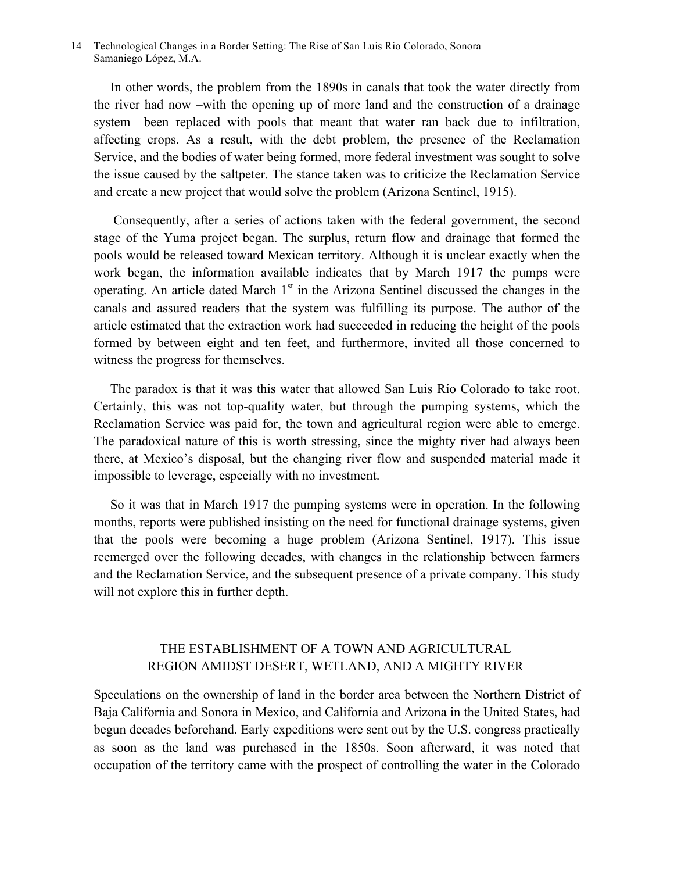In other words, the problem from the 1890s in canals that took the water directly from the river had now –with the opening up of more land and the construction of a drainage system– been replaced with pools that meant that water ran back due to infiltration, affecting crops. As a result, with the debt problem, the presence of the Reclamation Service, and the bodies of water being formed, more federal investment was sought to solve the issue caused by the saltpeter. The stance taken was to criticize the Reclamation Service and create a new project that would solve the problem (Arizona Sentinel, 1915).

 Consequently, after a series of actions taken with the federal government, the second stage of the Yuma project began. The surplus, return flow and drainage that formed the pools would be released toward Mexican territory. Although it is unclear exactly when the work began, the information available indicates that by March 1917 the pumps were operating. An article dated March  $1<sup>st</sup>$  in the Arizona Sentinel discussed the changes in the canals and assured readers that the system was fulfilling its purpose. The author of the article estimated that the extraction work had succeeded in reducing the height of the pools formed by between eight and ten feet, and furthermore, invited all those concerned to witness the progress for themselves.

 The paradox is that it was this water that allowed San Luis Río Colorado to take root. Certainly, this was not top-quality water, but through the pumping systems, which the Reclamation Service was paid for, the town and agricultural region were able to emerge. The paradoxical nature of this is worth stressing, since the mighty river had always been there, at Mexico's disposal, but the changing river flow and suspended material made it impossible to leverage, especially with no investment.

 So it was that in March 1917 the pumping systems were in operation. In the following months, reports were published insisting on the need for functional drainage systems, given that the pools were becoming a huge problem (Arizona Sentinel, 1917). This issue reemerged over the following decades, with changes in the relationship between farmers and the Reclamation Service, and the subsequent presence of a private company. This study will not explore this in further depth.

# THE ESTABLISHMENT OF A TOWN AND AGRICULTURAL REGION AMIDST DESERT, WETLAND, AND A MIGHTY RIVER

Speculations on the ownership of land in the border area between the Northern District of Baja California and Sonora in Mexico, and California and Arizona in the United States, had begun decades beforehand. Early expeditions were sent out by the U.S. congress practically as soon as the land was purchased in the 1850s. Soon afterward, it was noted that occupation of the territory came with the prospect of controlling the water in the Colorado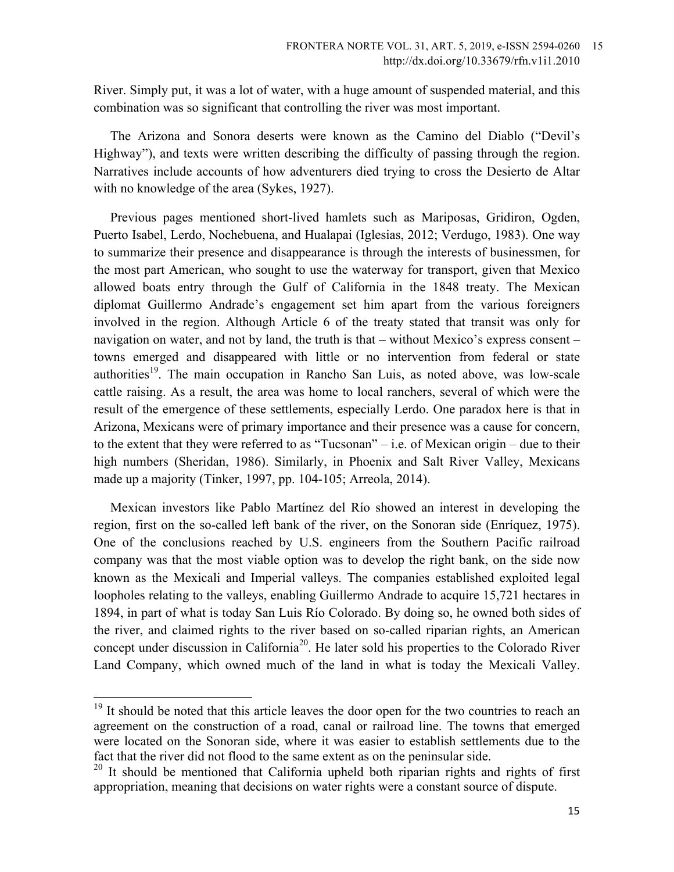River. Simply put, it was a lot of water, with a huge amount of suspended material, and this combination was so significant that controlling the river was most important.

The Arizona and Sonora deserts were known as the Camino del Diablo ("Devil's Highway"), and texts were written describing the difficulty of passing through the region. Narratives include accounts of how adventurers died trying to cross the Desierto de Altar with no knowledge of the area (Sykes, 1927).

 Previous pages mentioned short-lived hamlets such as Mariposas, Gridiron, Ogden, Puerto Isabel, Lerdo, Nochebuena, and Hualapai (Iglesias, 2012; Verdugo, 1983). One way to summarize their presence and disappearance is through the interests of businessmen, for the most part American, who sought to use the waterway for transport, given that Mexico allowed boats entry through the Gulf of California in the 1848 treaty. The Mexican diplomat Guillermo Andrade's engagement set him apart from the various foreigners involved in the region. Although Article 6 of the treaty stated that transit was only for navigation on water, and not by land, the truth is that – without Mexico's express consent – towns emerged and disappeared with little or no intervention from federal or state authorities<sup>19</sup>. The main occupation in Rancho San Luis, as noted above, was low-scale cattle raising. As a result, the area was home to local ranchers, several of which were the result of the emergence of these settlements, especially Lerdo. One paradox here is that in Arizona, Mexicans were of primary importance and their presence was a cause for concern, to the extent that they were referred to as "Tucsonan" – i.e. of Mexican origin – due to their high numbers (Sheridan, 1986). Similarly, in Phoenix and Salt River Valley, Mexicans made up a majority (Tinker, 1997, pp. 104-105; Arreola, 2014).

 Mexican investors like Pablo Martínez del Río showed an interest in developing the region, first on the so-called left bank of the river, on the Sonoran side (Enríquez, 1975). One of the conclusions reached by U.S. engineers from the Southern Pacific railroad company was that the most viable option was to develop the right bank, on the side now known as the Mexicali and Imperial valleys. The companies established exploited legal loopholes relating to the valleys, enabling Guillermo Andrade to acquire 15,721 hectares in 1894, in part of what is today San Luis Río Colorado. By doing so, he owned both sides of the river, and claimed rights to the river based on so-called riparian rights, an American concept under discussion in California<sup>20</sup>. He later sold his properties to the Colorado River Land Company, which owned much of the land in what is today the Mexicali Valley.

<sup>&</sup>lt;sup>19</sup> It should be noted that this article leaves the door open for the two countries to reach an agreement on the construction of a road, canal or railroad line. The towns that emerged were located on the Sonoran side, where it was easier to establish settlements due to the fact that the river did not flood to the same extent as on the peninsular side.

<sup>&</sup>lt;sup>20</sup> It should be mentioned that California upheld both riparian rights and rights of first appropriation, meaning that decisions on water rights were a constant source of dispute.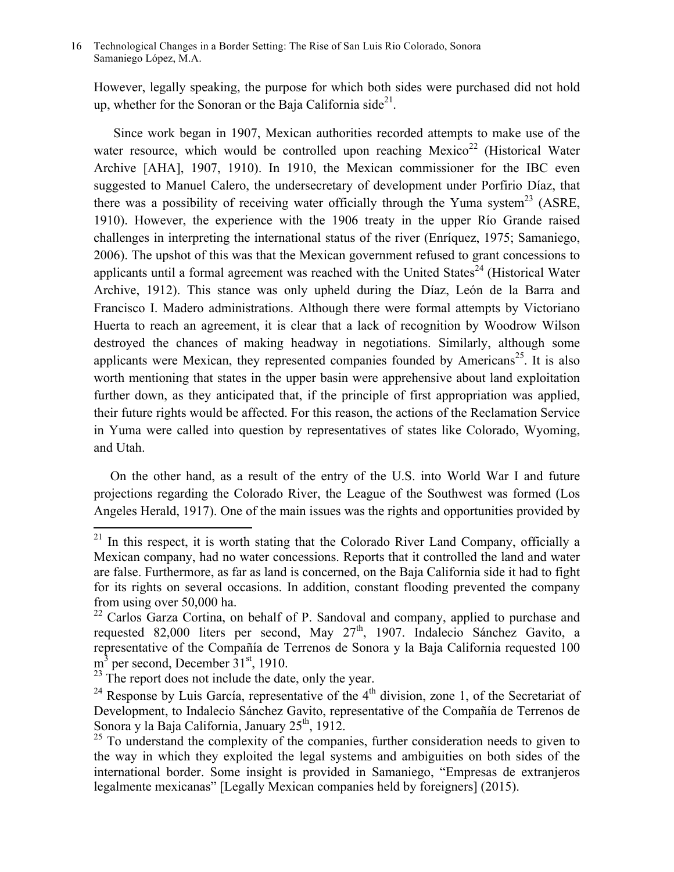However, legally speaking, the purpose for which both sides were purchased did not hold up, whether for the Sonoran or the Baja California side<sup>21</sup>.

 Since work began in 1907, Mexican authorities recorded attempts to make use of the water resource, which would be controlled upon reaching Mexico<sup>22</sup> (Historical Water Archive [AHA], 1907, 1910). In 1910, the Mexican commissioner for the IBC even suggested to Manuel Calero, the undersecretary of development under Porfirio Díaz, that there was a possibility of receiving water officially through the Yuma system<sup>23</sup> (ASRE, 1910). However, the experience with the 1906 treaty in the upper Río Grande raised challenges in interpreting the international status of the river (Enríquez, 1975; Samaniego, 2006). The upshot of this was that the Mexican government refused to grant concessions to applicants until a formal agreement was reached with the United States<sup>24</sup> (Historical Water Archive, 1912). This stance was only upheld during the Díaz, León de la Barra and Francisco I. Madero administrations. Although there were formal attempts by Victoriano Huerta to reach an agreement, it is clear that a lack of recognition by Woodrow Wilson destroyed the chances of making headway in negotiations. Similarly, although some applicants were Mexican, they represented companies founded by  $A$ mericans<sup>25</sup>. It is also worth mentioning that states in the upper basin were apprehensive about land exploitation further down, as they anticipated that, if the principle of first appropriation was applied, their future rights would be affected. For this reason, the actions of the Reclamation Service in Yuma were called into question by representatives of states like Colorado, Wyoming, and Utah.

 On the other hand, as a result of the entry of the U.S. into World War I and future projections regarding the Colorado River, the League of the Southwest was formed (Los Angeles Herald, 1917). One of the main issues was the rights and opportunities provided by

 $21$  In this respect, it is worth stating that the Colorado River Land Company, officially a Mexican company, had no water concessions. Reports that it controlled the land and water are false. Furthermore, as far as land is concerned, on the Baja California side it had to fight for its rights on several occasions. In addition, constant flooding prevented the company from using over 50,000 ha.

<sup>&</sup>lt;sup>22</sup> Carlos Garza Cortina, on behalf of P. Sandoval and company, applied to purchase and requested 82,000 liters per second, May 27<sup>th</sup>, 1907. Indalecio Sánchez Gavito, a representative of the Compañía de Terrenos de Sonora y la Baja California requested 100  $m<sup>3</sup>$  per second, December  $31<sup>st</sup>$ , 1910.

 $^{23}$  The report does not include the date, only the year.

<sup>&</sup>lt;sup>24</sup> Response by Luis García, representative of the  $4<sup>th</sup>$  division, zone 1, of the Secretariat of Development, to Indalecio Sánchez Gavito, representative of the Compañía de Terrenos de Sonora y la Baja California, January  $25<sup>th</sup>$ , 1912.

 $25$  To understand the complexity of the companies, further consideration needs to given to the way in which they exploited the legal systems and ambiguities on both sides of the international border. Some insight is provided in Samaniego, "Empresas de extranjeros legalmente mexicanas" [Legally Mexican companies held by foreigners] (2015).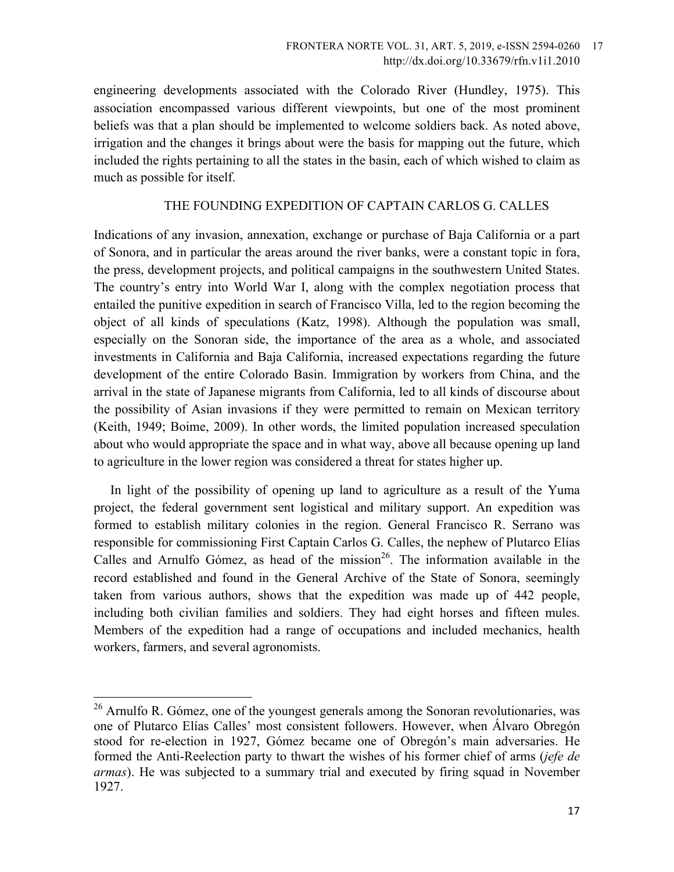engineering developments associated with the Colorado River (Hundley, 1975). This association encompassed various different viewpoints, but one of the most prominent beliefs was that a plan should be implemented to welcome soldiers back. As noted above, irrigation and the changes it brings about were the basis for mapping out the future, which included the rights pertaining to all the states in the basin, each of which wished to claim as much as possible for itself.

## THE FOUNDING EXPEDITION OF CAPTAIN CARLOS G. CALLES

Indications of any invasion, annexation, exchange or purchase of Baja California or a part of Sonora, and in particular the areas around the river banks, were a constant topic in fora, the press, development projects, and political campaigns in the southwestern United States. The country's entry into World War I, along with the complex negotiation process that entailed the punitive expedition in search of Francisco Villa, led to the region becoming the object of all kinds of speculations (Katz, 1998). Although the population was small, especially on the Sonoran side, the importance of the area as a whole, and associated investments in California and Baja California, increased expectations regarding the future development of the entire Colorado Basin. Immigration by workers from China, and the arrival in the state of Japanese migrants from California, led to all kinds of discourse about the possibility of Asian invasions if they were permitted to remain on Mexican territory (Keith, 1949; Boime, 2009). In other words, the limited population increased speculation about who would appropriate the space and in what way, above all because opening up land to agriculture in the lower region was considered a threat for states higher up.

 In light of the possibility of opening up land to agriculture as a result of the Yuma project, the federal government sent logistical and military support. An expedition was formed to establish military colonies in the region. General Francisco R. Serrano was responsible for commissioning First Captain Carlos G. Calles, the nephew of Plutarco Elías Calles and Arnulfo Gómez, as head of the mission<sup>26</sup>. The information available in the record established and found in the General Archive of the State of Sonora, seemingly taken from various authors, shows that the expedition was made up of 442 people, including both civilian families and soldiers. They had eight horses and fifteen mules. Members of the expedition had a range of occupations and included mechanics, health workers, farmers, and several agronomists.

<sup>&</sup>lt;sup>26</sup> Arnulfo R. Gómez, one of the youngest generals among the Sonoran revolutionaries, was one of Plutarco Elías Calles' most consistent followers. However, when Álvaro Obregón stood for re-election in 1927, Gómez became one of Obregón's main adversaries. He formed the Anti-Reelection party to thwart the wishes of his former chief of arms (*jefe de armas*). He was subjected to a summary trial and executed by firing squad in November 1927.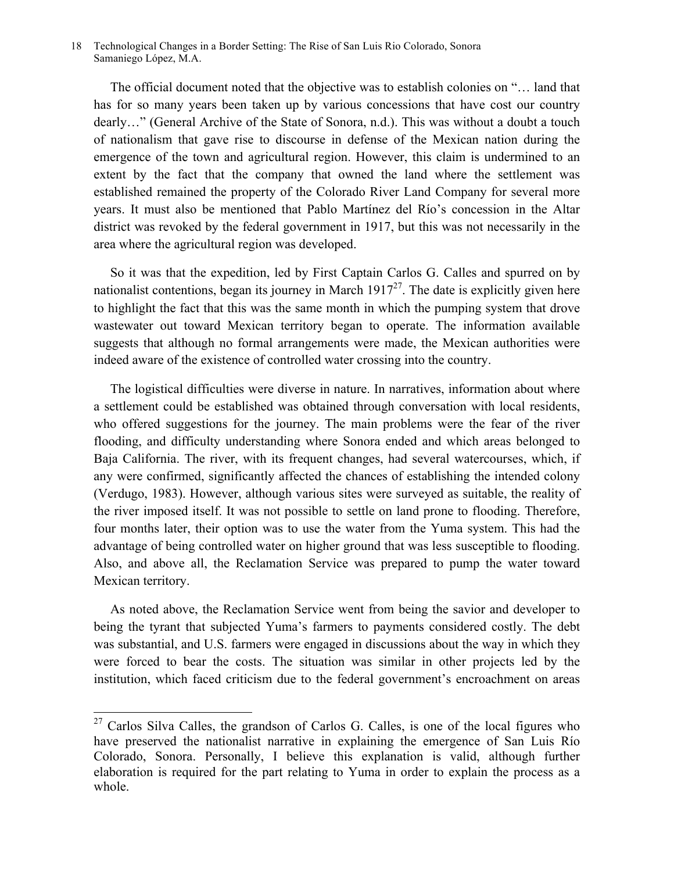The official document noted that the objective was to establish colonies on "… land that has for so many years been taken up by various concessions that have cost our country dearly…" (General Archive of the State of Sonora, n.d.). This was without a doubt a touch of nationalism that gave rise to discourse in defense of the Mexican nation during the emergence of the town and agricultural region. However, this claim is undermined to an extent by the fact that the company that owned the land where the settlement was established remained the property of the Colorado River Land Company for several more years. It must also be mentioned that Pablo Martínez del Río's concession in the Altar district was revoked by the federal government in 1917, but this was not necessarily in the area where the agricultural region was developed.

 So it was that the expedition, led by First Captain Carlos G. Calles and spurred on by nationalist contentions, began its journey in March  $1917^{27}$ . The date is explicitly given here to highlight the fact that this was the same month in which the pumping system that drove wastewater out toward Mexican territory began to operate. The information available suggests that although no formal arrangements were made, the Mexican authorities were indeed aware of the existence of controlled water crossing into the country.

 The logistical difficulties were diverse in nature. In narratives, information about where a settlement could be established was obtained through conversation with local residents, who offered suggestions for the journey. The main problems were the fear of the river flooding, and difficulty understanding where Sonora ended and which areas belonged to Baja California. The river, with its frequent changes, had several watercourses, which, if any were confirmed, significantly affected the chances of establishing the intended colony (Verdugo, 1983). However, although various sites were surveyed as suitable, the reality of the river imposed itself. It was not possible to settle on land prone to flooding. Therefore, four months later, their option was to use the water from the Yuma system. This had the advantage of being controlled water on higher ground that was less susceptible to flooding. Also, and above all, the Reclamation Service was prepared to pump the water toward Mexican territory.

 As noted above, the Reclamation Service went from being the savior and developer to being the tyrant that subjected Yuma's farmers to payments considered costly. The debt was substantial, and U.S. farmers were engaged in discussions about the way in which they were forced to bear the costs. The situation was similar in other projects led by the institution, which faced criticism due to the federal government's encroachment on areas

 $27$  Carlos Silva Calles, the grandson of Carlos G. Calles, is one of the local figures who have preserved the nationalist narrative in explaining the emergence of San Luis Río Colorado, Sonora. Personally, I believe this explanation is valid, although further elaboration is required for the part relating to Yuma in order to explain the process as a whole.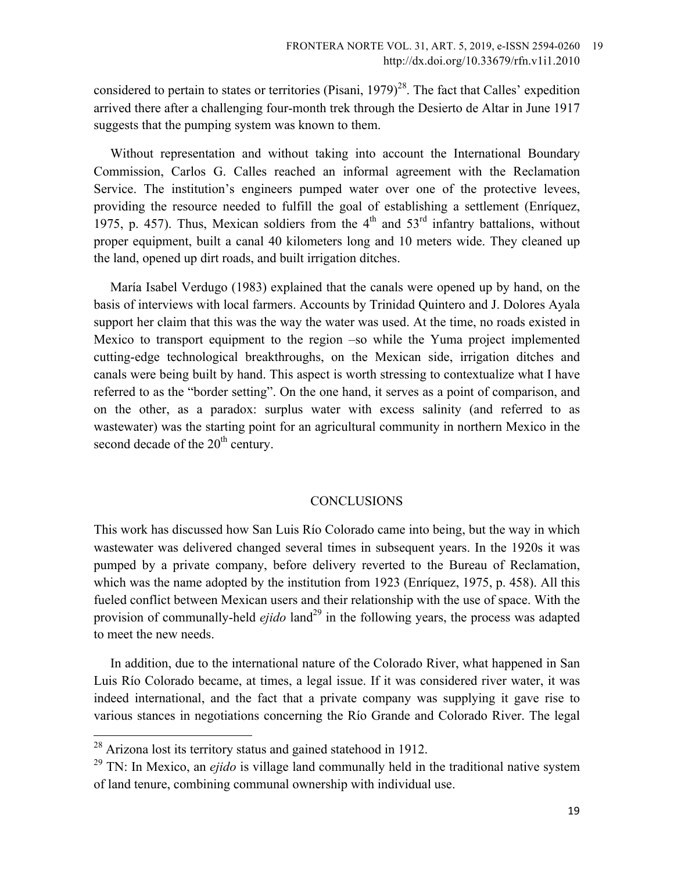considered to pertain to states or territories (Pisani,  $1979)^{28}$ . The fact that Calles' expedition arrived there after a challenging four-month trek through the Desierto de Altar in June 1917 suggests that the pumping system was known to them.

 Without representation and without taking into account the International Boundary Commission, Carlos G. Calles reached an informal agreement with the Reclamation Service. The institution's engineers pumped water over one of the protective levees, providing the resource needed to fulfill the goal of establishing a settlement (Enríquez, 1975, p. 457). Thus, Mexican soldiers from the  $4<sup>th</sup>$  and  $53<sup>rd</sup>$  infantry battalions, without proper equipment, built a canal 40 kilometers long and 10 meters wide. They cleaned up the land, opened up dirt roads, and built irrigation ditches.

 María Isabel Verdugo (1983) explained that the canals were opened up by hand, on the basis of interviews with local farmers. Accounts by Trinidad Quintero and J. Dolores Ayala support her claim that this was the way the water was used. At the time, no roads existed in Mexico to transport equipment to the region –so while the Yuma project implemented cutting-edge technological breakthroughs, on the Mexican side, irrigation ditches and canals were being built by hand. This aspect is worth stressing to contextualize what I have referred to as the "border setting". On the one hand, it serves as a point of comparison, and on the other, as a paradox: surplus water with excess salinity (and referred to as wastewater) was the starting point for an agricultural community in northern Mexico in the second decade of the  $20<sup>th</sup>$  century.

#### **CONCLUSIONS**

This work has discussed how San Luis Río Colorado came into being, but the way in which wastewater was delivered changed several times in subsequent years. In the 1920s it was pumped by a private company, before delivery reverted to the Bureau of Reclamation, which was the name adopted by the institution from 1923 (Enríquez, 1975, p. 458). All this fueled conflict between Mexican users and their relationship with the use of space. With the provision of communally-held *ejido* land<sup>29</sup> in the following years, the process was adapted to meet the new needs.

 In addition, due to the international nature of the Colorado River, what happened in San Luis Río Colorado became, at times, a legal issue. If it was considered river water, it was indeed international, and the fact that a private company was supplying it gave rise to various stances in negotiations concerning the Río Grande and Colorado River. The legal

<sup>&</sup>lt;sup>28</sup> Arizona lost its territory status and gained statehood in 1912.

<sup>&</sup>lt;sup>29</sup> TN: In Mexico, an *ejido* is village land communally held in the traditional native system of land tenure, combining communal ownership with individual use.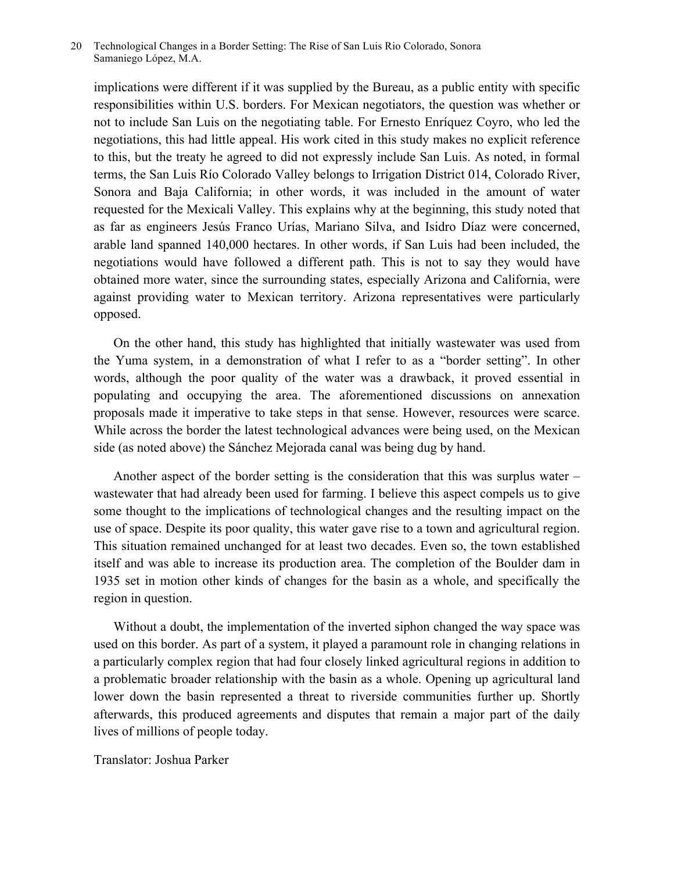implications were different if it was supplied by the Bureau, as a public entity with specific responsibilities within U.S. borders. For Mexican negotiators, the question was whether or not to include San Luis on the negotiating table. For Ernesto Enríquez Coyro, who led the negotiations, this had little appeal. His work cited in this study makes no explicit reference to this, but the treaty he agreed to did not expressly include San Luis. As noted, in formal terms, the San Luis Río Colorado Valley belongs to Irrigation District 014, Colorado River, Sonora and Baja California; in other words, it was included in the amount of water requested for the Mexicali Valley. This explains why at the beginning, this study noted that as far as engineers Jesús Franco Urías, Mariano Silva, and Isidro Díaz were concerned, arable land spanned 140,000 hectares. In other words, if San Luis had been included, the negotiations would have followed a different path. This is not to say they would have obtained more water, since the surrounding states, especially Arizona and California, were against providing water to Mexican territory. Arizona representatives were particularly opposed.

 On the other hand, this study has highlighted that initially wastewater was used from the Yuma system, in a demonstration of what I refer to as a "border setting". In other words, although the poor quality of the water was a drawback, it proved essential in populating and occupying the area. The aforementioned discussions on annexation proposals made it imperative to take steps in that sense. However, resources were scarce. While across the border the latest technological advances were being used, on the Mexican side (as noted above) the Sánchez Mejorada canal was being dug by hand.

 Another aspect of the border setting is the consideration that this was surplus water – wastewater that had already been used for farming. I believe this aspect compels us to give some thought to the implications of technological changes and the resulting impact on the use of space. Despite its poor quality, this water gave rise to a town and agricultural region. This situation remained unchanged for at least two decades. Even so, the town established itself and was able to increase its production area. The completion of the Boulder dam in 1935 set in motion other kinds of changes for the basin as a whole, and specifically the region in question.

 Without a doubt, the implementation of the inverted siphon changed the way space was used on this border. As part of a system, it played a paramount role in changing relations in a particularly complex region that had four closely linked agricultural regions in addition to a problematic broader relationship with the basin as a whole. Opening up agricultural land lower down the basin represented a threat to riverside communities further up. Shortly afterwards, this produced agreements and disputes that remain a major part of the daily lives of millions of people today.

## Translator: Joshua Parker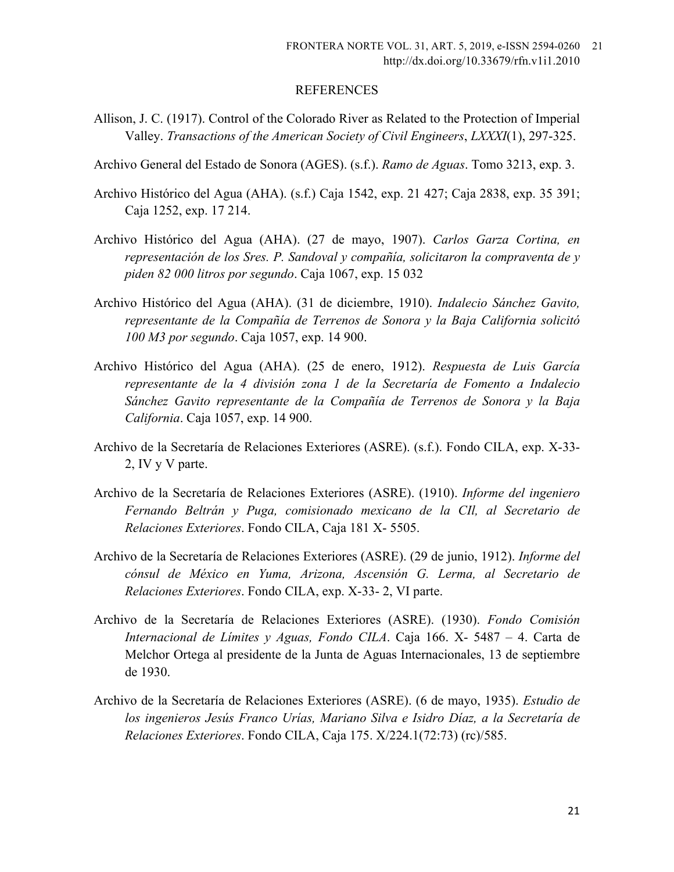#### REFERENCES

- Allison, J. C. (1917). Control of the Colorado River as Related to the Protection of Imperial Valley. *Transactions of the American Society of Civil Engineers*, *LXXXI*(1), 297-325.
- Archivo General del Estado de Sonora (AGES). (s.f.). *Ramo de Aguas*. Tomo 3213, exp. 3.
- Archivo Histórico del Agua (AHA). (s.f.) Caja 1542, exp. 21 427; Caja 2838, exp. 35 391; Caja 1252, exp. 17 214.
- Archivo Histórico del Agua (AHA). (27 de mayo, 1907). *Carlos Garza Cortina, en representación de los Sres. P. Sandoval y compañía, solicitaron la compraventa de y piden 82 000 litros por segundo*. Caja 1067, exp. 15 032
- Archivo Histórico del Agua (AHA). (31 de diciembre, 1910). *Indalecio Sánchez Gavito, representante de la Compañía de Terrenos de Sonora y la Baja California solicitó 100 M3 por segundo*. Caja 1057, exp. 14 900.
- Archivo Histórico del Agua (AHA). (25 de enero, 1912). *Respuesta de Luis García representante de la 4 división zona 1 de la Secretaría de Fomento a Indalecio Sánchez Gavito representante de la Compañía de Terrenos de Sonora y la Baja California*. Caja 1057, exp. 14 900.
- Archivo de la Secretaría de Relaciones Exteriores (ASRE). (s.f.). Fondo CILA, exp. X-33- 2, IV y V parte.
- Archivo de la Secretaría de Relaciones Exteriores (ASRE). (1910). *Informe del ingeniero Fernando Beltrán y Puga, comisionado mexicano de la CIl, al Secretario de Relaciones Exteriores*. Fondo CILA, Caja 181 X- 5505.
- Archivo de la Secretaría de Relaciones Exteriores (ASRE). (29 de junio, 1912). *Informe del cónsul de México en Yuma, Arizona, Ascensión G. Lerma, al Secretario de Relaciones Exteriores*. Fondo CILA, exp. X-33- 2, VI parte.
- Archivo de la Secretaría de Relaciones Exteriores (ASRE). (1930). *Fondo Comisión Internacional de Límites y Aguas, Fondo CILA*. Caja 166. X- 5487 – 4. Carta de Melchor Ortega al presidente de la Junta de Aguas Internacionales, 13 de septiembre de 1930.
- Archivo de la Secretaría de Relaciones Exteriores (ASRE). (6 de mayo, 1935). *Estudio de los ingenieros Jesús Franco Urías, Mariano Silva e Isidro Díaz, a la Secretaría de Relaciones Exteriores*. Fondo CILA, Caja 175. X/224.1(72:73) (rc)/585.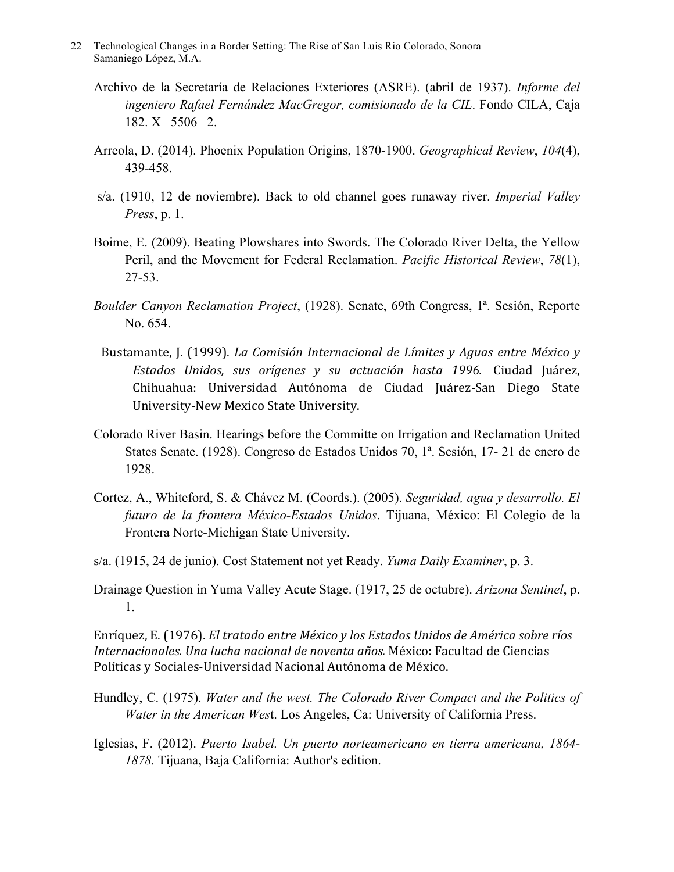- 22 Technological Changes in a Border Setting: The Rise of San Luis Rio Colorado, Sonora Samaniego López, M.A.
	- Archivo de la Secretaría de Relaciones Exteriores (ASRE). (abril de 1937). *Informe del ingeniero Rafael Fernández MacGregor, comisionado de la CIL*. Fondo CILA, Caja 182. X –5506– 2.
	- Arreola, D. (2014). Phoenix Population Origins, 1870-1900. *Geographical Review*, *104*(4), 439-458.
	- s/a. (1910, 12 de noviembre). Back to old channel goes runaway river. *Imperial Valley Press*, p. 1.
	- Boime, E. (2009). Beating Plowshares into Swords. The Colorado River Delta, the Yellow Peril, and the Movement for Federal Reclamation. *Pacific Historical Review*, *78*(1), 27-53.
	- *Boulder Canyon Reclamation Project*, (1928). Senate, 69th Congress, 1ª. Sesión, Reporte No. 654.
	- Bustamante, J. (1999). *La Comisión Internacional de Límites y Aguas entre México y Estados Unidos, sus orígenes y su actuación hasta 1996.* Ciudad Juárez, Chihuahua: Universidad Autónoma de Ciudad Juárez-San Diego State University-New Mexico State University.
	- Colorado River Basin. Hearings before the Committe on Irrigation and Reclamation United States Senate. (1928). Congreso de Estados Unidos 70, 1ª. Sesión, 17- 21 de enero de 1928.
	- Cortez, A., Whiteford, S. & Chávez M. (Coords.). (2005). *Seguridad, agua y desarrollo. El futuro de la frontera México-Estados Unidos*. Tijuana, México: El Colegio de la Frontera Norte-Michigan State University.
	- s/a. (1915, 24 de junio). Cost Statement not yet Ready. *Yuma Daily Examiner*, p. 3.
	- Drainage Question in Yuma Valley Acute Stage. (1917, 25 de octubre). *Arizona Sentinel*, p. 1.

Enríquez, E. (1976). *El tratado entre México y los Estados Unidos de América sobre ríos Internacionales. Una lucha nacional de noventa años.* México: Facultad de Ciencias Políticas y Sociales-Universidad Nacional Autónoma de México.

- Hundley, C. (1975). *Water and the west. The Colorado River Compact and the Politics of Water in the American Wes*t. Los Angeles, Ca: University of California Press.
- Iglesias, F. (2012). *Puerto Isabel. Un puerto norteamericano en tierra americana, 1864- 1878.* Tijuana, Baja California: Author's edition.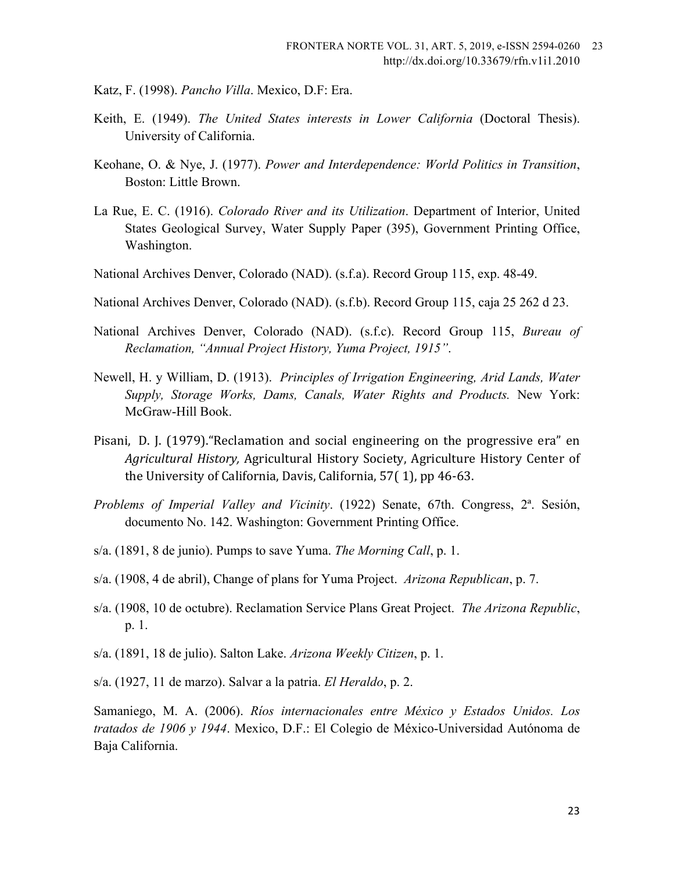- Katz, F. (1998). *Pancho Villa*. Mexico, D.F: Era.
- Keith, E. (1949). *The United States interests in Lower California* (Doctoral Thesis). University of California.
- Keohane, O. & Nye, J. (1977). *Power and Interdependence: World Politics in Transition*, Boston: Little Brown.
- La Rue, E. C. (1916). *Colorado River and its Utilization*. Department of Interior, United States Geological Survey, Water Supply Paper (395), Government Printing Office, Washington.
- National Archives Denver, Colorado (NAD). (s.f.a). Record Group 115, exp. 48-49.
- National Archives Denver, Colorado (NAD). (s.f.b). Record Group 115, caja 25 262 d 23.
- National Archives Denver, Colorado (NAD). (s.f.c). Record Group 115, *Bureau of Reclamation, "Annual Project History, Yuma Project, 1915"*.
- Newell, H. y William, D. (1913). *Principles of Irrigation Engineering, Arid Lands, Water Supply, Storage Works, Dams, Canals, Water Rights and Products.* New York: McGraw-Hill Book.
- Pisani, D. J. (1979). "Reclamation and social engineering on the progressive era" en *Agricultural History, Agricultural History Society, Agriculture History Center of* the University of California, Davis, California,  $57(1)$ , pp 46-63.
- *Problems of Imperial Valley and Vicinity*. (1922) Senate, 67th. Congress, 2ª. Sesión, documento No. 142. Washington: Government Printing Office.
- s/a. (1891, 8 de junio). Pumps to save Yuma. *The Morning Call*, p. 1.
- s/a. (1908, 4 de abril), Change of plans for Yuma Project. *Arizona Republican*, p. 7.
- s/a. (1908, 10 de octubre). Reclamation Service Plans Great Project. *The Arizona Republic*, p. 1.
- s/a. (1891, 18 de julio). Salton Lake. *Arizona Weekly Citizen*, p. 1.
- s/a. (1927, 11 de marzo). Salvar a la patria. *El Heraldo*, p. 2.

Samaniego, M. A. (2006). *Ríos internacionales entre México y Estados Unidos. Los tratados de 1906 y 1944*. Mexico, D.F.: El Colegio de México-Universidad Autónoma de Baja California.